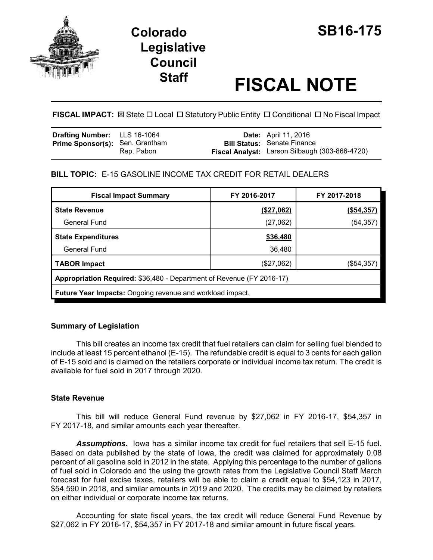

# **Colorado SB16-175 Legislative Council**

# **Staff FISCAL NOTE**

**FISCAL IMPACT:**  $\boxtimes$  **State □ Local □ Statutory Public Entity □ Conditional □ No Fiscal Impact** 

| <b>Drafting Number:</b> LLS 16-1064    |            | <b>Date:</b> April 11, 2016                                                          |
|----------------------------------------|------------|--------------------------------------------------------------------------------------|
| <b>Prime Sponsor(s): Sen. Grantham</b> | Rep. Pabon | <b>Bill Status: Senate Finance</b><br>Fiscal Analyst: Larson Silbaugh (303-866-4720) |

# **BILL TOPIC:** E-15 GASOLINE INCOME TAX CREDIT FOR RETAIL DEALERS

| <b>Fiscal Impact Summary</b>                                          | FY 2016-2017 | FY 2017-2018 |  |  |  |
|-----------------------------------------------------------------------|--------------|--------------|--|--|--|
| <b>State Revenue</b>                                                  | (\$27,062)   | (\$54,357)   |  |  |  |
| <b>General Fund</b>                                                   | (27,062)     | (54, 357)    |  |  |  |
| <b>State Expenditures</b>                                             | \$36,480     |              |  |  |  |
| <b>General Fund</b>                                                   | 36,480       |              |  |  |  |
| <b>TABOR Impact</b>                                                   | (\$27,062)   | (\$54,357)   |  |  |  |
| Appropriation Required: \$36,480 - Department of Revenue (FY 2016-17) |              |              |  |  |  |
| Future Year Impacts: Ongoing revenue and workload impact.             |              |              |  |  |  |

## **Summary of Legislation**

This bill creates an income tax credit that fuel retailers can claim for selling fuel blended to include at least 15 percent ethanol (E-15). The refundable credit is equal to 3 cents for each gallon of E-15 sold and is claimed on the retailers corporate or individual income tax return. The credit is available for fuel sold in 2017 through 2020.

## **State Revenue**

This bill will reduce General Fund revenue by \$27,062 in FY 2016-17, \$54,357 in FY 2017-18, and similar amounts each year thereafter.

*Assumptions.* Iowa has a similar income tax credit for fuel retailers that sell E-15 fuel. Based on data published by the state of Iowa, the credit was claimed for approximately 0.08 percent of all gasoline sold in 2012 in the state. Applying this percentage to the number of gallons of fuel sold in Colorado and the using the growth rates from the Legislative Council Staff March forecast for fuel excise taxes, retailers will be able to claim a credit equal to \$54,123 in 2017, \$54,590 in 2018, and similar amounts in 2019 and 2020. The credits may be claimed by retailers on either individual or corporate income tax returns.

Accounting for state fiscal years, the tax credit will reduce General Fund Revenue by \$27,062 in FY 2016-17, \$54,357 in FY 2017-18 and similar amount in future fiscal years.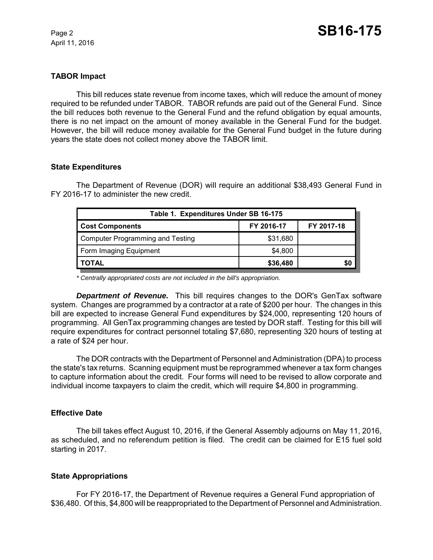April 11, 2016

#### **TABOR Impact**

This bill reduces state revenue from income taxes, which will reduce the amount of money required to be refunded under TABOR. TABOR refunds are paid out of the General Fund. Since the bill reduces both revenue to the General Fund and the refund obligation by equal amounts, there is no net impact on the amount of money available in the General Fund for the budget. However, the bill will reduce money available for the General Fund budget in the future during years the state does not collect money above the TABOR limit.

#### **State Expenditures**

The Department of Revenue (DOR) will require an additional \$38,493 General Fund in FY 2016-17 to administer the new credit.

| Table 1. Expenditures Under SB 16-175   |            |            |  |  |  |
|-----------------------------------------|------------|------------|--|--|--|
| <b>Cost Components</b>                  | FY 2016-17 | FY 2017-18 |  |  |  |
| <b>Computer Programming and Testing</b> | \$31,680   |            |  |  |  |
| Form Imaging Equipment                  | \$4,800    |            |  |  |  |
| <b>TOTAL</b>                            | \$36,480   | \$0        |  |  |  |

*\* Centrally appropriated costs are not included in the bill's appropriation.*

*Department of Revenue.* This bill requires changes to the DOR's GenTax software system. Changes are programmed by a contractor at a rate of \$200 per hour. The changes in this bill are expected to increase General Fund expenditures by \$24,000, representing 120 hours of programming. All GenTax programming changes are tested by DOR staff. Testing for this bill will require expenditures for contract personnel totaling \$7,680, representing 320 hours of testing at a rate of \$24 per hour.

The DOR contracts with the Department of Personnel and Administration (DPA) to process the state's tax returns. Scanning equipment must be reprogrammed whenever a tax form changes to capture information about the credit. Four forms will need to be revised to allow corporate and individual income taxpayers to claim the credit, which will require \$4,800 in programming.

#### **Effective Date**

The bill takes effect August 10, 2016, if the General Assembly adjourns on May 11, 2016, as scheduled, and no referendum petition is filed. The credit can be claimed for E15 fuel sold starting in 2017.

#### **State Appropriations**

For FY 2016-17, the Department of Revenue requires a General Fund appropriation of \$36,480. Of this, \$4,800 will be reappropriated to the Department of Personnel and Administration.